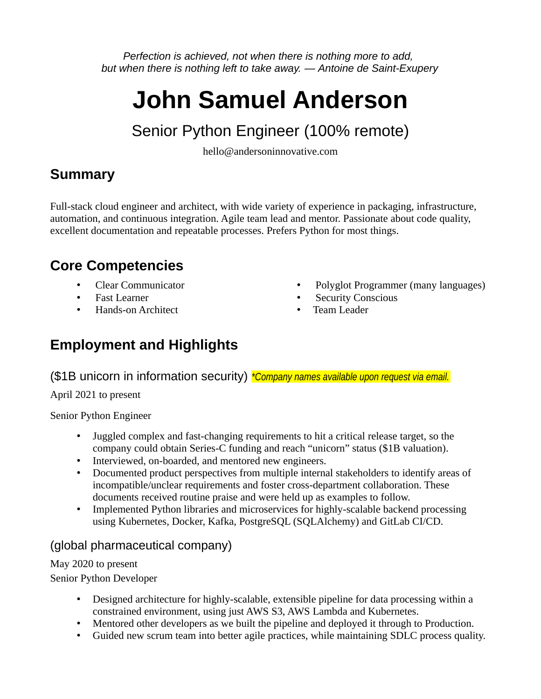*Perfection is achieved, not when there is nothing more to add, but when there is nothing left to take away. — Antoine de Saint-Exupery*

# **John Samuel Anderson**

# Senior Python Engineer (100% remote)

hello@andersoninnovative.com

# **Summary**

Full-stack cloud engineer and architect, with wide variety of experience in packaging, infrastructure, automation, and continuous integration. Agile team lead and mentor. Passionate about code quality, excellent documentation and repeatable processes. Prefers Python for most things.

# **Core Competencies**

- Clear Communicator
- Fast Learner
- Hands-on Architect
- Polyglot Programmer (many languages)
- Security Conscious
- Team Leader

# **Employment and Highlights**

(\$1B unicorn in information security) *\*Company names available upon request via email.*

April 2021 to present

Senior Python Engineer

- Juggled complex and fast-changing requirements to hit a critical release target, so the company could obtain Series-C funding and reach "unicorn" status (\$1B valuation).
- Interviewed, on-boarded, and mentored new engineers.
- Documented product perspectives from multiple internal stakeholders to identify areas of incompatible/unclear requirements and foster cross-department collaboration. These documents received routine praise and were held up as examples to follow.
- Implemented Python libraries and microservices for highly-scalable backend processing using Kubernetes, Docker, Kafka, PostgreSQL (SQLAlchemy) and GitLab CI/CD.

# (global pharmaceutical company)

May 2020 to present

Senior Python Developer

- Designed architecture for highly-scalable, extensible pipeline for data processing within a constrained environment, using just AWS S3, AWS Lambda and Kubernetes.
- Mentored other developers as we built the pipeline and deployed it through to Production.
- Guided new scrum team into better agile practices, while maintaining SDLC process quality.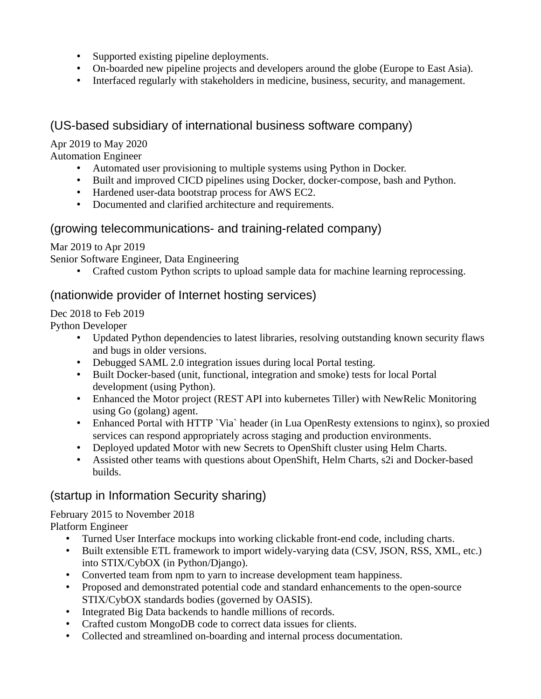- Supported existing pipeline deployments.
- On-boarded new pipeline projects and developers around the globe (Europe to East Asia).
- Interfaced regularly with stakeholders in medicine, business, security, and management.

## (US-based subsidiary of international business software company)

#### Apr 2019 to May 2020

Automation Engineer

- Automated user provisioning to multiple systems using Python in Docker.
- Built and improved CICD pipelines using Docker, docker-compose, bash and Python.
- Hardened user-data bootstrap process for AWS EC2.
- Documented and clarified architecture and requirements.

#### (growing telecommunications- and training-related company)

Mar 2019 to Apr 2019

Senior Software Engineer, Data Engineering

• Crafted custom Python scripts to upload sample data for machine learning reprocessing.

#### (nationwide provider of Internet hosting services)

Dec 2018 to Feb 2019

Python Developer

- Updated Python dependencies to latest libraries, resolving outstanding known security flaws and bugs in older versions.
- Debugged SAML 2.0 integration issues during local Portal testing.
- Built Docker-based (unit, functional, integration and smoke) tests for local Portal development (using Python).
- Enhanced the Motor project (REST API into kubernetes Tiller) with NewRelic Monitoring using Go (golang) agent.
- Enhanced Portal with HTTP `Via` header (in Lua OpenResty extensions to nginx), so proxied services can respond appropriately across staging and production environments.
- Deployed updated Motor with new Secrets to OpenShift cluster using Helm Charts.
- Assisted other teams with questions about OpenShift, Helm Charts, s2i and Docker-based builds.

#### (startup in Information Security sharing)

#### February 2015 to November 2018

Platform Engineer

- Turned User Interface mockups into working clickable front-end code, including charts.
- Built extensible ETL framework to import widely-varying data (CSV, JSON, RSS, XML, etc.) into STIX/CybOX (in Python/Django).
- Converted team from npm to yarn to increase development team happiness.
- Proposed and demonstrated potential code and standard enhancements to the open-source STIX/CybOX standards bodies (governed by OASIS).
- Integrated Big Data backends to handle millions of records.
- Crafted custom MongoDB code to correct data issues for clients.
- Collected and streamlined on-boarding and internal process documentation.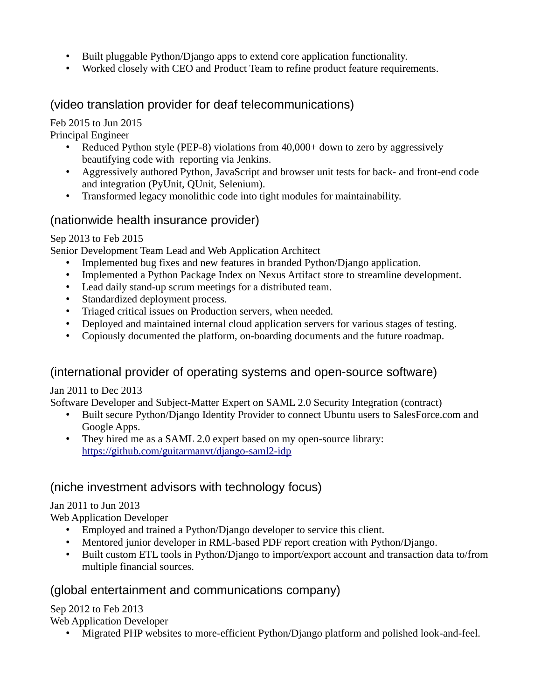- Built pluggable Python/Django apps to extend core application functionality.
- Worked closely with CEO and Product Team to refine product feature requirements.

## (video translation provider for deaf telecommunications)

#### Feb 2015 to Jun 2015

Principal Engineer

- Reduced Python style (PEP-8) violations from 40,000+ down to zero by aggressively beautifying code with reporting via Jenkins.
- Aggressively authored Python, JavaScript and browser unit tests for back- and front-end code and integration (PyUnit, QUnit, Selenium).
- Transformed legacy monolithic code into tight modules for maintainability.

## (nationwide health insurance provider)

#### Sep 2013 to Feb 2015

Senior Development Team Lead and Web Application Architect

- Implemented bug fixes and new features in branded Python/Django application.
- Implemented a Python Package Index on Nexus Artifact store to streamline development.
- Lead daily stand-up scrum meetings for a distributed team.
- Standardized deployment process.
- Triaged critical issues on Production servers, when needed.
- Deployed and maintained internal cloud application servers for various stages of testing.
- Copiously documented the platform, on-boarding documents and the future roadmap.

# (international provider of operating systems and open-source software)

Jan 2011 to Dec 2013

Software Developer and Subject-Matter Expert on SAML 2.0 Security Integration (contract)

- Built secure Python/Django Identity Provider to connect Ubuntu users to SalesForce.com and Google Apps.
- They hired me as a SAML 2.0 expert based on my open-source library: <https://github.com/guitarmanvt/django-saml2-idp>

# (niche investment advisors with technology focus)

#### Jan 2011 to Jun 2013

Web Application Developer

- Employed and trained a Python/Django developer to service this client.
- Mentored junior developer in RML-based PDF report creation with Python/Django.
- Built custom ETL tools in Python/Django to import/export account and transaction data to/from multiple financial sources.

#### (global entertainment and communications company)

Sep 2012 to Feb 2013

Web Application Developer

• Migrated PHP websites to more-efficient Python/Django platform and polished look-and-feel.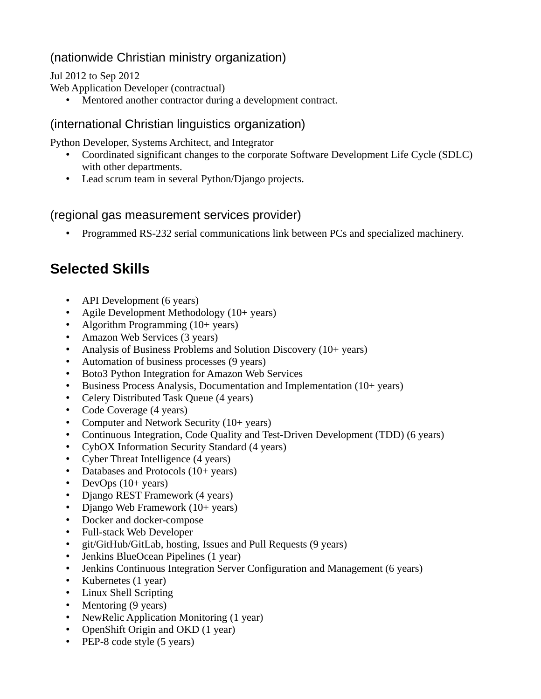# (nationwide Christian ministry organization)

Jul 2012 to Sep 2012

Web Application Developer (contractual)

• Mentored another contractor during a development contract.

## (international Christian linguistics organization)

Python Developer, Systems Architect, and Integrator

- Coordinated significant changes to the corporate Software Development Life Cycle (SDLC) with other departments.
- Lead scrum team in several Python/Django projects.

## (regional gas measurement services provider)

• Programmed RS-232 serial communications link between PCs and specialized machinery.

# **Selected Skills**

- API Development (6 years)
- Agile Development Methodology (10+ years)
- Algorithm Programming (10+ years)
- Amazon Web Services (3 years)
- Analysis of Business Problems and Solution Discovery (10+ years)
- Automation of business processes (9 years)
- Boto3 Python Integration for Amazon Web Services
- Business Process Analysis, Documentation and Implementation (10+ years)
- Celery Distributed Task Queue (4 years)
- Code Coverage (4 years)
- Computer and Network Security (10+ years)
- Continuous Integration, Code Quality and Test-Driven Development (TDD) (6 years)
- CybOX Information Security Standard (4 years)
- Cyber Threat Intelligence (4 years)
- Databases and Protocols (10+ years)
- DevOps (10+ years)
- Django REST Framework (4 years)
- Django Web Framework (10+ years)
- Docker and docker-compose
- Full-stack Web Developer
- git/GitHub/GitLab, hosting, Issues and Pull Requests (9 years)
- Jenkins BlueOcean Pipelines (1 year)
- Jenkins Continuous Integration Server Configuration and Management (6 years)
- Kubernetes (1 year)
- Linux Shell Scripting
- Mentoring (9 years)
- NewRelic Application Monitoring (1 year)
- OpenShift Origin and OKD (1 year)
- PEP-8 code style (5 years)